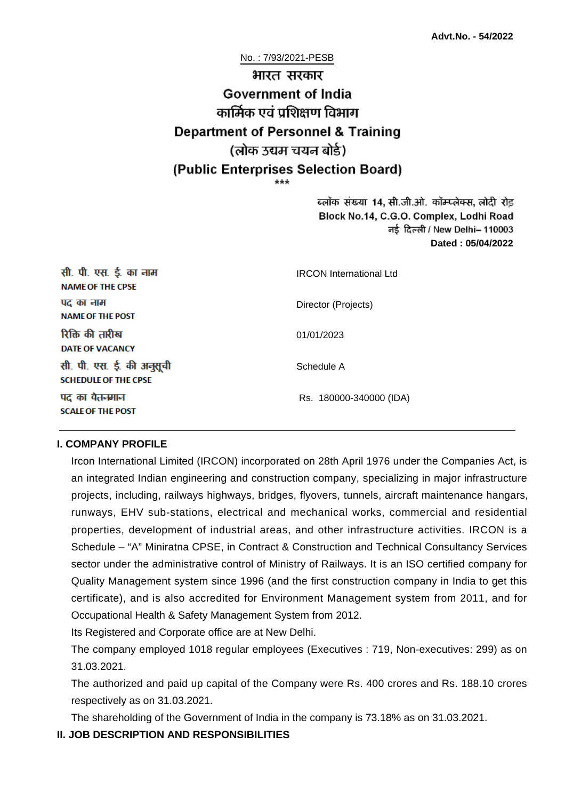No. : 7/93/2021-PESB

# भारत सरकार **Government of India** कार्मिक एवं पशिक्षण विभाग **Department of Personnel & Training** (लोक उद्यम चयन बोर्ड) (Public Enterprises Selection Board)

ब्लॉक संख्या 14, सी.जी.ओ. कॉम्प्लेक्स, लोदी रोड Block No.14, C.G.O. Complex, Lodhi Road ਰई दिल्ली / New Delhi– 110003 **Dated : 05/04/2022**

| सी. पी. एस. ई. का नाम<br><b>NAME OF THE CPSE</b>         | <b>IRCON</b> International Ltd |
|----------------------------------------------------------|--------------------------------|
| पद का नाम<br><b>NAME OF THE POST</b>                     | Director (Projects)            |
| रिक्ति की तारीख<br><b>DATE OF VACANCY</b>                | 01/01/2023                     |
| सी. पी. एस. ई. की अनुसूची<br><b>SCHEDULE OF THE CPSE</b> | Schedule A                     |
| पद का वेतनमान<br><b>SCALE OF THE POST</b>                | Rs. 180000-340000 (IDA)        |

#### **I. COMPANY PROFILE**

Ircon International Limited (IRCON) incorporated on 28th April 1976 under the Companies Act, is an integrated Indian engineering and construction company, specializing in major infrastructure projects, including, railways highways, bridges, flyovers, tunnels, aircraft maintenance hangars, runways, EHV sub-stations, electrical and mechanical works, commercial and residential properties, development of industrial areas, and other infrastructure activities. IRCON is a Schedule – "A" Miniratna CPSE, in Contract & Construction and Technical Consultancy Services sector under the administrative control of Ministry of Railways. It is an ISO certified company for Quality Management system since 1996 (and the first construction company in India to get this certificate), and is also accredited for Environment Management system from 2011, and for Occupational Health & Safety Management System from 2012.

Its Registered and Corporate office are at New Delhi.

The company employed 1018 regular employees (Executives : 719, Non-executives: 299) as on 31.03.2021.

The authorized and paid up capital of the Company were Rs. 400 crores and Rs. 188.10 crores respectively as on 31.03.2021.

The shareholding of the Government of India in the company is 73.18% as on 31.03.2021.

## **II. JOB DESCRIPTION AND RESPONSIBILITIES**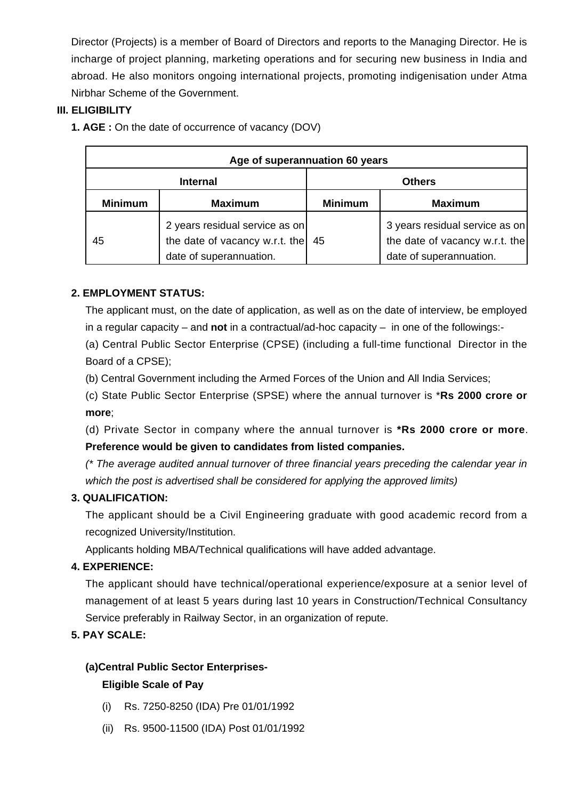Director (Projects) is a member of Board of Directors and reports to the Managing Director. He is incharge of project planning, marketing operations and for securing new business in India and abroad. He also monitors ongoing international projects, promoting indigenisation under Atma Nirbhar Scheme of the Government.

## **III. ELIGIBILITY**

**1. AGE :** On the date of occurrence of vacancy (DOV)

| Age of superannuation 60 years |                                                                                             |                |                                                                                             |
|--------------------------------|---------------------------------------------------------------------------------------------|----------------|---------------------------------------------------------------------------------------------|
| <b>Internal</b>                |                                                                                             | <b>Others</b>  |                                                                                             |
| <b>Minimum</b>                 | <b>Maximum</b>                                                                              | <b>Minimum</b> | <b>Maximum</b>                                                                              |
| 45                             | 2 years residual service as on<br>the date of vacancy w.r.t. the<br>date of superannuation. | 45             | 3 years residual service as on<br>the date of vacancy w.r.t. the<br>date of superannuation. |

## **2. EMPLOYMENT STATUS:**

The applicant must, on the date of application, as well as on the date of interview, be employed in a regular capacity – and **not** in a contractual/ad-hoc capacity – in one of the followings:-

(a) Central Public Sector Enterprise (CPSE) (including a full-time functional Director in the Board of a CPSE);

(b) Central Government including the Armed Forces of the Union and All India Services;

(c) State Public Sector Enterprise (SPSE) where the annual turnover is \***Rs 2000 crore or more**;

(d) Private Sector in company where the annual turnover is **\*Rs 2000 crore or more**. **Preference would be given to candidates from listed companies.**

(\* The average audited annual turnover of three financial years preceding the calendar year in which the post is advertised shall be considered for applying the approved limits)

## **3. QUALIFICATION:**

The applicant should be a Civil Engineering graduate with good academic record from a recognized University/Institution.

Applicants holding MBA/Technical qualifications will have added advantage.

## **4. EXPERIENCE:**

The applicant should have technical/operational experience/exposure at a senior level of management of at least 5 years during last 10 years in Construction/Technical Consultancy Service preferably in Railway Sector, in an organization of repute.

## **5. PAY SCALE:**

## **(a)Central Public Sector Enterprises-**

## **Eligible Scale of Pay**

- (i) Rs. 7250-8250 (IDA) Pre 01/01/1992
- (ii) Rs. 9500-11500 (IDA) Post 01/01/1992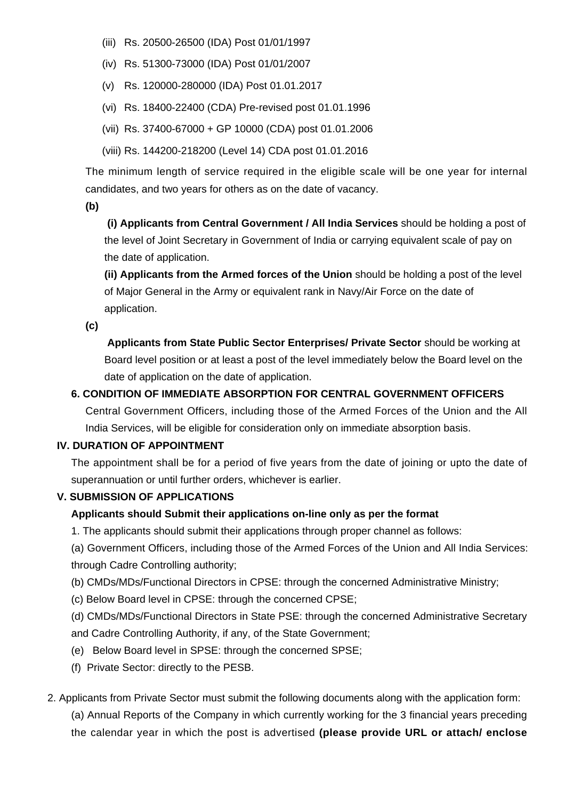- (iii) Rs. 20500-26500 (IDA) Post 01/01/1997
- (iv) Rs. 51300-73000 (IDA) Post 01/01/2007
- (v) Rs. 120000-280000 (IDA) Post 01.01.2017
- (vi) Rs. 18400-22400 (CDA) Pre-revised post 01.01.1996
- (vii) Rs. 37400-67000 + GP 10000 (CDA) post 01.01.2006
- (viii) Rs. 144200-218200 (Level 14) CDA post 01.01.2016

The minimum length of service required in the eligible scale will be one year for internal candidates, and two years for others as on the date of vacancy.

**(b)**

**(i) Applicants from Central Government / All India Services** should be holding a post of the level of Joint Secretary in Government of India or carrying equivalent scale of pay on the date of application.

**(ii) Applicants from the Armed forces of the Union** should be holding a post of the level of Major General in the Army or equivalent rank in Navy/Air Force on the date of application.

**(c)**

 **Applicants from State Public Sector Enterprises/ Private Sector** should be working at Board level position or at least a post of the level immediately below the Board level on the date of application on the date of application.

#### **6. CONDITION OF IMMEDIATE ABSORPTION FOR CENTRAL GOVERNMENT OFFICERS**

Central Government Officers, including those of the Armed Forces of the Union and the All India Services, will be eligible for consideration only on immediate absorption basis.

#### **IV. DURATION OF APPOINTMENT**

The appointment shall be for a period of five years from the date of joining or upto the date of superannuation or until further orders, whichever is earlier.

#### **V. SUBMISSION OF APPLICATIONS**

## **Applicants should Submit their applications on-line only as per the format**

1. The applicants should submit their applications through proper channel as follows:

(a) Government Officers, including those of the Armed Forces of the Union and All India Services: through Cadre Controlling authority;

(b) CMDs/MDs/Functional Directors in CPSE: through the concerned Administrative Ministry;

(c) Below Board level in CPSE: through the concerned CPSE;

(d) CMDs/MDs/Functional Directors in State PSE: through the concerned Administrative Secretary and Cadre Controlling Authority, if any, of the State Government;

- (e) Below Board level in SPSE: through the concerned SPSE;
- (f) Private Sector: directly to the PESB.
- 2. Applicants from Private Sector must submit the following documents along with the application form:

(a) Annual Reports of the Company in which currently working for the 3 financial years preceding the calendar year in which the post is advertised **(please provide URL or attach/ enclose**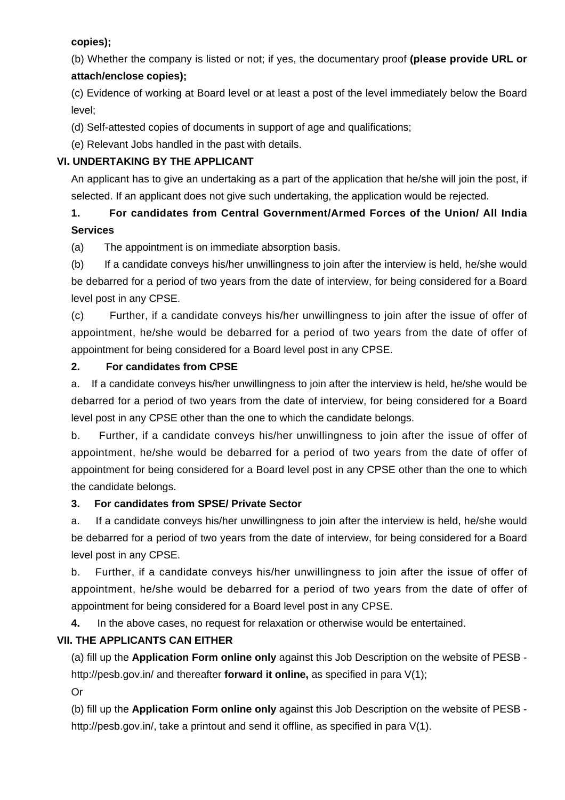## **copies);**

(b) Whether the company is listed or not; if yes, the documentary proof **(please provide URL or attach/enclose copies);**

(c) Evidence of working at Board level or at least a post of the level immediately below the Board level;

(d) Self-attested copies of documents in support of age and qualifications;

(e) Relevant Jobs handled in the past with details.

## **VI. UNDERTAKING BY THE APPLICANT**

An applicant has to give an undertaking as a part of the application that he/she will join the post, if selected. If an applicant does not give such undertaking, the application would be rejected.

# **1. For candidates from Central Government/Armed Forces of the Union/ All India Services**

(a) The appointment is on immediate absorption basis.

(b) If a candidate conveys his/her unwillingness to join after the interview is held, he/she would be debarred for a period of two years from the date of interview, for being considered for a Board level post in any CPSE.

(c) Further, if a candidate conveys his/her unwillingness to join after the issue of offer of appointment, he/she would be debarred for a period of two years from the date of offer of appointment for being considered for a Board level post in any CPSE.

## **2. For candidates from CPSE**

a. If a candidate conveys his/her unwillingness to join after the interview is held, he/she would be debarred for a period of two years from the date of interview, for being considered for a Board level post in any CPSE other than the one to which the candidate belongs.

b. Further, if a candidate conveys his/her unwillingness to join after the issue of offer of appointment, he/she would be debarred for a period of two years from the date of offer of appointment for being considered for a Board level post in any CPSE other than the one to which the candidate belongs.

## **3. For candidates from SPSE/ Private Sector**

a. If a candidate conveys his/her unwillingness to join after the interview is held, he/she would be debarred for a period of two years from the date of interview, for being considered for a Board level post in any CPSE.

b. Further, if a candidate conveys his/her unwillingness to join after the issue of offer of appointment, he/she would be debarred for a period of two years from the date of offer of appointment for being considered for a Board level post in any CPSE.

**4.** In the above cases, no request for relaxation or otherwise would be entertained.

## **VII. THE APPLICANTS CAN EITHER**

(a) fill up the **Application Form online only** against this Job Description on the website of PESB http://pesb.gov.in/ and thereafter **forward it online,** as specified in para V(1);

Or

(b) fill up the **Application Form online only** against this Job Description on the website of PESB http://pesb.gov.in/, take a printout and send it offline, as specified in para V(1).